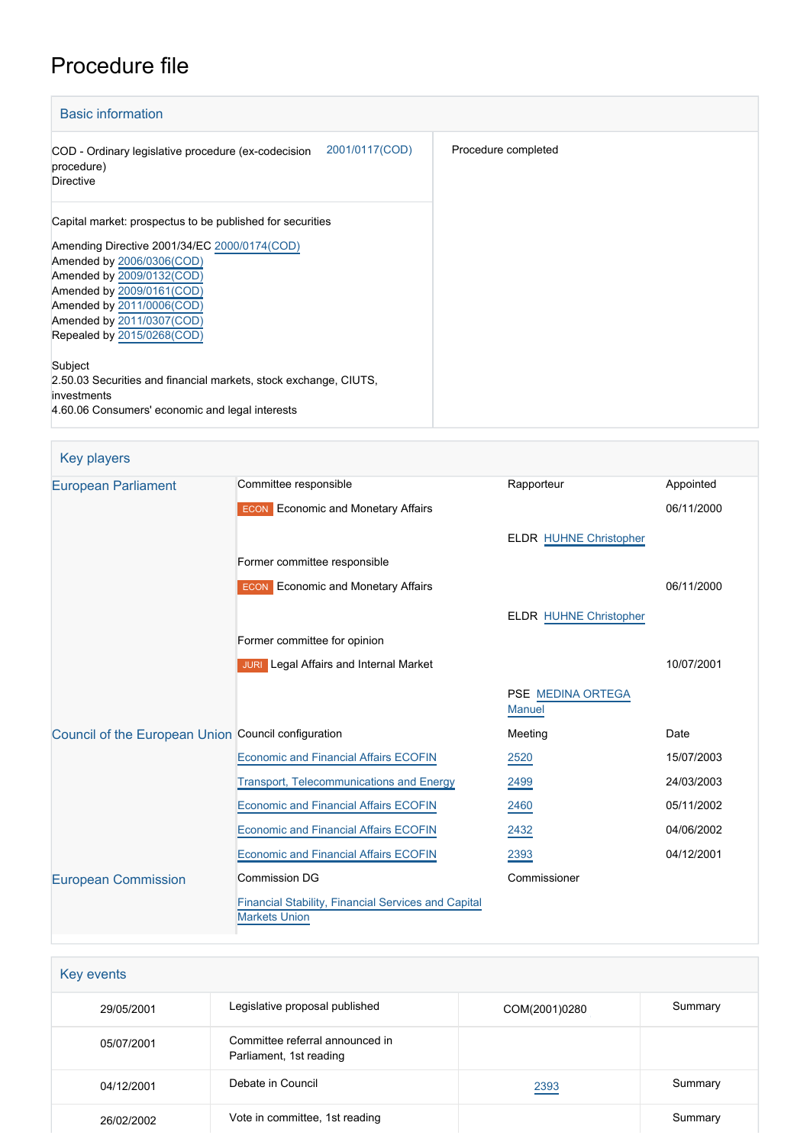# Procedure file

| <b>Basic information</b>                                                                                                                                                                                                                                                                            |                     |
|-----------------------------------------------------------------------------------------------------------------------------------------------------------------------------------------------------------------------------------------------------------------------------------------------------|---------------------|
| 2001/0117(COD)<br>COD - Ordinary legislative procedure (ex-codecision<br>procedure)<br><b>Directive</b>                                                                                                                                                                                             | Procedure completed |
| Capital market: prospectus to be published for securities<br>Amending Directive 2001/34/EC 2000/0174(COD)<br>Amended by 2006/0306(COD)<br>Amended by 2009/0132(COD)<br>Amended by 2009/0161(COD)<br>Amended by 2011/0006(COD)<br>Amended by 2011/0307(COD)<br>Repealed by 2015/0268(COD)<br>Subject |                     |
| 2.50.03 Securities and financial markets, stock exchange, CIUTS,<br>investments<br>4.60.06 Consumers' economic and legal interests                                                                                                                                                                  |                     |

Key players

| <b>European Parliament</b>                          | Committee responsible                                                       | Rapporteur                         | Appointed  |
|-----------------------------------------------------|-----------------------------------------------------------------------------|------------------------------------|------------|
|                                                     | <b>ECON</b> Economic and Monetary Affairs                                   |                                    | 06/11/2000 |
|                                                     |                                                                             | <b>ELDR HUHNE Christopher</b>      |            |
|                                                     | Former committee responsible                                                |                                    |            |
|                                                     | <b>ECON</b> Economic and Monetary Affairs                                   |                                    | 06/11/2000 |
|                                                     |                                                                             | <b>ELDR HUHNE Christopher</b>      |            |
|                                                     | Former committee for opinion                                                |                                    |            |
|                                                     | <b>JURI</b> Legal Affairs and Internal Market                               |                                    | 10/07/2001 |
|                                                     |                                                                             | PSE MEDINA ORTEGA<br><b>Manuel</b> |            |
| Council of the European Union Council configuration |                                                                             | Meeting                            | Date       |
|                                                     | <b>Economic and Financial Affairs ECOFIN</b>                                | 2520                               | 15/07/2003 |
|                                                     | <b>Transport, Telecommunications and Energy</b>                             | 2499                               | 24/03/2003 |
|                                                     | <b>Economic and Financial Affairs ECOFIN</b>                                | 2460                               | 05/11/2002 |
|                                                     | <b>Economic and Financial Affairs ECOFIN</b>                                | 2432                               | 04/06/2002 |
|                                                     | <b>Economic and Financial Affairs ECOFIN</b>                                | 2393                               | 04/12/2001 |
| <b>European Commission</b>                          | <b>Commission DG</b>                                                        | Commissioner                       |            |
|                                                     | Financial Stability, Financial Services and Capital<br><b>Markets Union</b> |                                    |            |

| Key events |                                                            |               |         |
|------------|------------------------------------------------------------|---------------|---------|
| 29/05/2001 | Legislative proposal published                             | COM(2001)0280 | Summary |
| 05/07/2001 | Committee referral announced in<br>Parliament, 1st reading |               |         |
| 04/12/2001 | Debate in Council                                          | 2393          | Summary |
| 26/02/2002 | Vote in committee, 1st reading                             |               | Summary |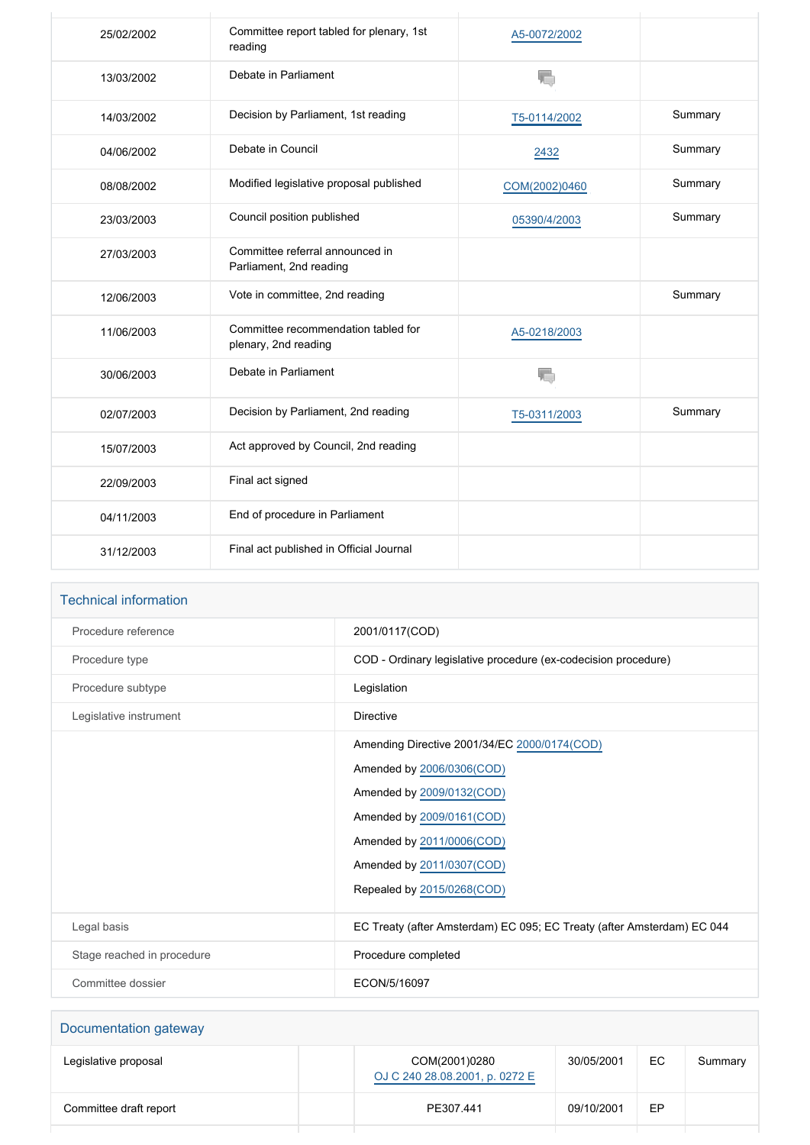| 25/02/2002 | Committee report tabled for plenary, 1st<br>reading         | A5-0072/2002  |         |
|------------|-------------------------------------------------------------|---------------|---------|
| 13/03/2002 | Debate in Parliament                                        | 焉             |         |
| 14/03/2002 | Decision by Parliament, 1st reading                         | T5-0114/2002  | Summary |
| 04/06/2002 | Debate in Council                                           | 2432          | Summary |
| 08/08/2002 | Modified legislative proposal published                     | COM(2002)0460 | Summary |
| 23/03/2003 | Council position published                                  | 05390/4/2003  | Summary |
| 27/03/2003 | Committee referral announced in<br>Parliament, 2nd reading  |               |         |
| 12/06/2003 | Vote in committee, 2nd reading                              |               | Summary |
| 11/06/2003 | Committee recommendation tabled for<br>plenary, 2nd reading | A5-0218/2003  |         |
| 30/06/2003 | Debate in Parliament                                        |               |         |
| 02/07/2003 | Decision by Parliament, 2nd reading                         | T5-0311/2003  | Summary |
| 15/07/2003 | Act approved by Council, 2nd reading                        |               |         |
| 22/09/2003 | Final act signed                                            |               |         |
| 04/11/2003 | End of procedure in Parliament                              |               |         |
| 31/12/2003 | Final act published in Official Journal                     |               |         |

| <b>Technical information</b> |                                                                        |
|------------------------------|------------------------------------------------------------------------|
| Procedure reference          | 2001/0117(COD)                                                         |
| Procedure type               | COD - Ordinary legislative procedure (ex-codecision procedure)         |
| Procedure subtype            | Legislation                                                            |
| Legislative instrument       | Directive                                                              |
|                              | Amending Directive 2001/34/EC 2000/0174(COD)                           |
|                              | Amended by 2006/0306(COD)                                              |
|                              | Amended by 2009/0132(COD)                                              |
|                              | Amended by 2009/0161(COD)                                              |
|                              | Amended by 2011/0006(COD)                                              |
|                              | Amended by 2011/0307(COD)                                              |
|                              | Repealed by 2015/0268(COD)                                             |
| Legal basis                  | EC Treaty (after Amsterdam) EC 095; EC Treaty (after Amsterdam) EC 044 |
| Stage reached in procedure   | Procedure completed                                                    |
| Committee dossier            | ECON/5/16097                                                           |

| Documentation gateway  |                                                 |            |    |         |
|------------------------|-------------------------------------------------|------------|----|---------|
| Legislative proposal   | COM(2001)0280<br>OJ C 240 28.08.2001, p. 0272 E | 30/05/2001 | EC | Summary |
| Committee draft report | PE307.441                                       | 09/10/2001 | EP |         |
|                        |                                                 |            |    |         |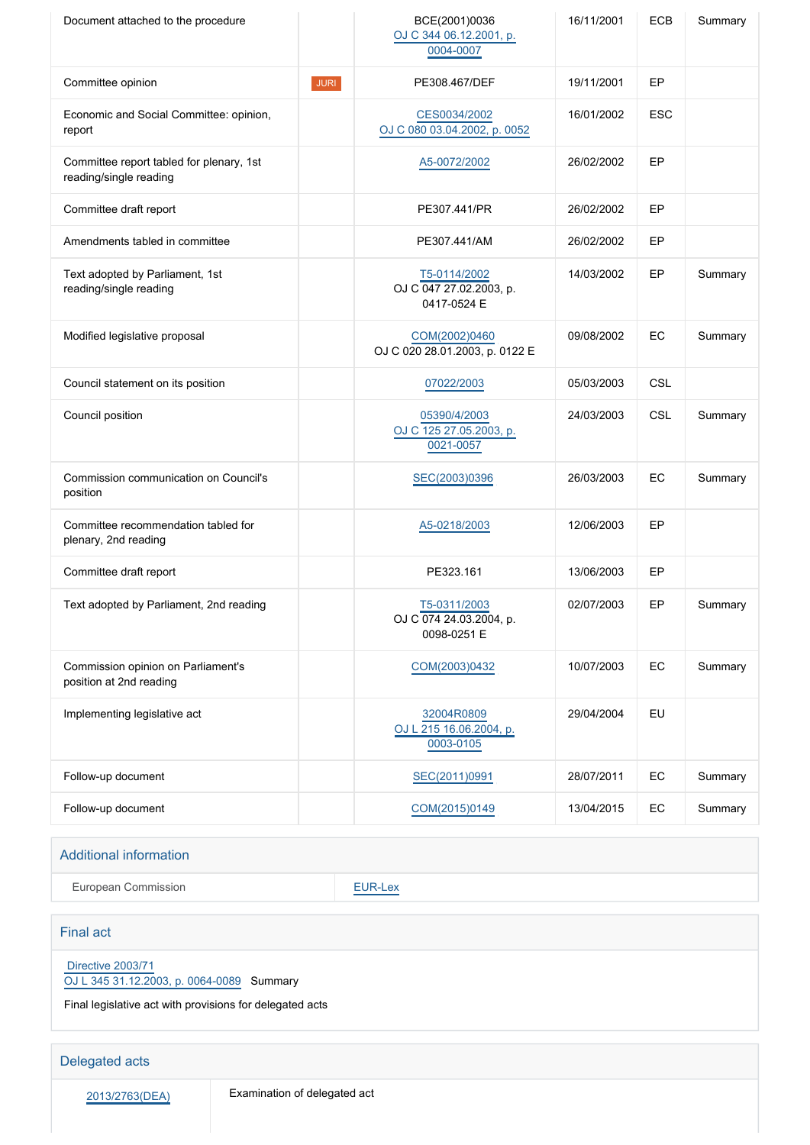| Document attached to the procedure                                 |             | BCE(2001)0036<br>OJ C 344 06.12.2001, p.<br>0004-0007  | 16/11/2001 | <b>ECB</b> | Summary |
|--------------------------------------------------------------------|-------------|--------------------------------------------------------|------------|------------|---------|
| Committee opinion                                                  | <b>JURI</b> | PE308.467/DEF                                          | 19/11/2001 | EP         |         |
| Economic and Social Committee: opinion,<br>report                  |             | CES0034/2002<br>OJ C 080 03.04.2002, p. 0052           | 16/01/2002 | <b>ESC</b> |         |
| Committee report tabled for plenary, 1st<br>reading/single reading |             | A5-0072/2002                                           | 26/02/2002 | EP         |         |
| Committee draft report                                             |             | PE307.441/PR                                           | 26/02/2002 | EP         |         |
| Amendments tabled in committee                                     |             | PE307.441/AM                                           | 26/02/2002 | EP         |         |
| Text adopted by Parliament, 1st<br>reading/single reading          |             | T5-0114/2002<br>OJ C 047 27.02.2003, p.<br>0417-0524 E | 14/03/2002 | EP         | Summary |
| Modified legislative proposal                                      |             | COM(2002)0460<br>OJ C 020 28.01.2003, p. 0122 E        | 09/08/2002 | EC         | Summary |
| Council statement on its position                                  |             | 07022/2003                                             | 05/03/2003 | CSL        |         |
| Council position                                                   |             | 05390/4/2003<br>OJ C 125 27.05.2003, p.<br>0021-0057   | 24/03/2003 | CSL        | Summary |
| Commission communication on Council's<br>position                  |             | SEC(2003)0396                                          | 26/03/2003 | EC         | Summary |
| Committee recommendation tabled for<br>plenary, 2nd reading        |             | A5-0218/2003                                           | 12/06/2003 | EP         |         |
| Committee draft report                                             |             | PE323.161                                              | 13/06/2003 | EP         |         |
| Text adopted by Parliament, 2nd reading                            |             | T5-0311/2003<br>OJ C 074 24.03.2004, p.<br>0098-0251 E | 02/07/2003 | EP         | Summary |
| Commission opinion on Parliament's<br>position at 2nd reading      |             | COM(2003)0432                                          | 10/07/2003 | EC         | Summary |
| Implementing legislative act                                       |             | 32004R0809<br>OJ L 215 16.06.2004, p.<br>0003-0105     | 29/04/2004 | EU         |         |
| Follow-up document                                                 |             | SEC(2011)0991                                          | 28/07/2011 | EC         | Summary |
| Follow-up document                                                 |             | COM(2015)0149                                          | 13/04/2015 | EC         | Summary |
|                                                                    |             |                                                        |            |            |         |

#### Additional information

European Commission **[EUR-Lex](http://ec.europa.eu/prelex/liste_resultats.cfm?CL=en&ReqId=0&DocType=COD&DocYear=2001&DocNum=0117)** 

#### Final act

 [Directive 2003/71](https://eur-lex.europa.eu/smartapi/cgi/sga_doc?smartapi!celexplus!prod!CELEXnumdoc&lg=EN&numdoc=32003L0071) [OJ L 345 31.12.2003, p. 0064-0089](https://eur-lex.europa.eu/legal-content/EN/TXT/?uri=OJ:L:2003:345:TOC) Summary

Final legislative act with provisions for delegated acts

#### Delegated acts

2013/2763(DEA) Examination of delegated act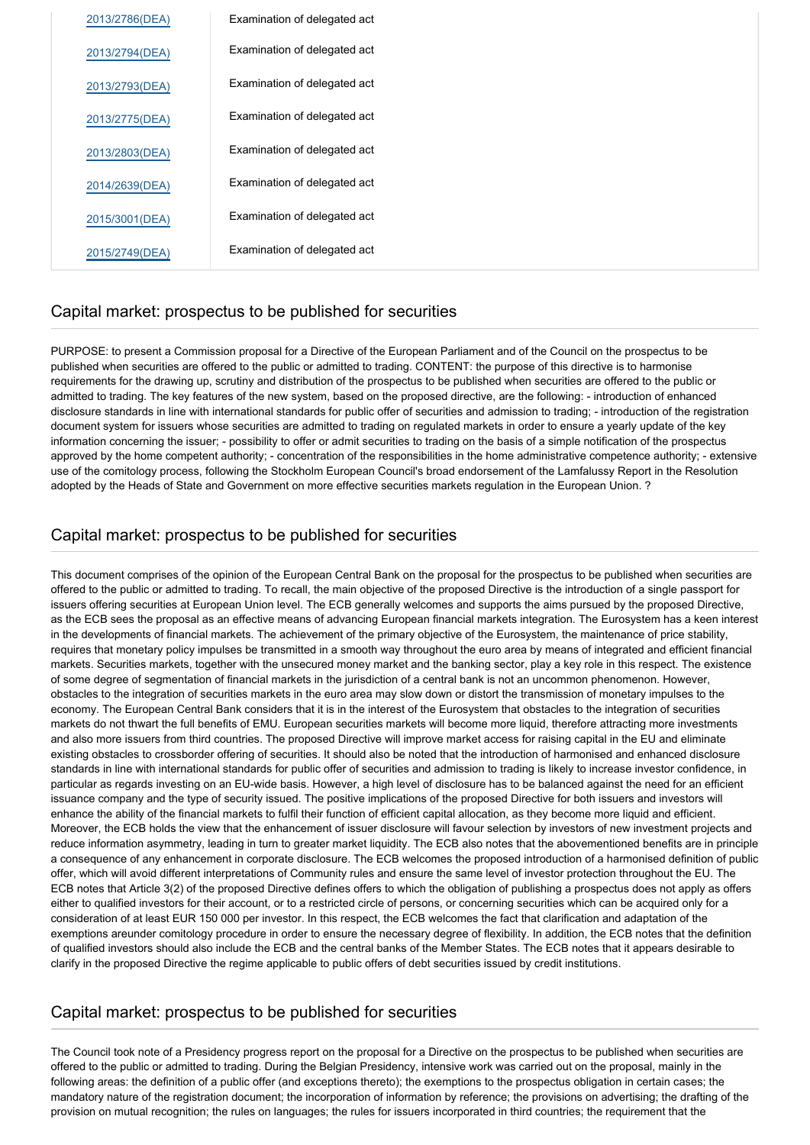| 2013/2786(DEA) | Examination of delegated act |
|----------------|------------------------------|
| 2013/2794(DEA) | Examination of delegated act |
| 2013/2793(DEA) | Examination of delegated act |
| 2013/2775(DEA) | Examination of delegated act |
| 2013/2803(DEA) | Examination of delegated act |
| 2014/2639(DEA) | Examination of delegated act |
| 2015/3001(DEA) | Examination of delegated act |
| 2015/2749(DEA) | Examination of delegated act |

# Capital market: prospectus to be published for securities

PURPOSE: to present a Commission proposal for a Directive of the European Parliament and of the Council on the prospectus to be published when securities are offered to the public or admitted to trading. CONTENT: the purpose of this directive is to harmonise requirements for the drawing up, scrutiny and distribution of the prospectus to be published when securities are offered to the public or admitted to trading. The key features of the new system, based on the proposed directive, are the following: - introduction of enhanced disclosure standards in line with international standards for public offer of securities and admission to trading; - introduction of the registration document system for issuers whose securities are admitted to trading on regulated markets in order to ensure a yearly update of the key information concerning the issuer; - possibility to offer or admit securities to trading on the basis of a simple notification of the prospectus approved by the home competent authority; - concentration of the responsibilities in the home administrative competence authority; - extensive use of the comitology process, following the Stockholm European Council's broad endorsement of the Lamfalussy Report in the Resolution adopted by the Heads of State and Government on more effective securities markets regulation in the European Union. ?

# Capital market: prospectus to be published for securities

This document comprises of the opinion of the European Central Bank on the proposal for the prospectus to be published when securities are offered to the public or admitted to trading. To recall, the main objective of the proposed Directive is the introduction of a single passport for issuers offering securities at European Union level. The ECB generally welcomes and supports the aims pursued by the proposed Directive, as the ECB sees the proposal as an effective means of advancing European financial markets integration. The Eurosystem has a keen interest in the developments of financial markets. The achievement of the primary objective of the Eurosystem, the maintenance of price stability, requires that monetary policy impulses be transmitted in a smooth way throughout the euro area by means of integrated and efficient financial markets. Securities markets, together with the unsecured money market and the banking sector, play a key role in this respect. The existence of some degree of segmentation of financial markets in the jurisdiction of a central bank is not an uncommon phenomenon. However, obstacles to the integration of securities markets in the euro area may slow down or distort the transmission of monetary impulses to the economy. The European Central Bank considers that it is in the interest of the Eurosystem that obstacles to the integration of securities markets do not thwart the full benefits of EMU. European securities markets will become more liquid, therefore attracting more investments and also more issuers from third countries. The proposed Directive will improve market access for raising capital in the EU and eliminate existing obstacles to crossborder offering of securities. It should also be noted that the introduction of harmonised and enhanced disclosure standards in line with international standards for public offer of securities and admission to trading is likely to increase investor confidence, in particular as regards investing on an EU-wide basis. However, a high level of disclosure has to be balanced against the need for an efficient issuance company and the type of security issued. The positive implications of the proposed Directive for both issuers and investors will enhance the ability of the financial markets to fulfil their function of efficient capital allocation, as they become more liquid and efficient. Moreover, the ECB holds the view that the enhancement of issuer disclosure will favour selection by investors of new investment projects and reduce information asymmetry, leading in turn to greater market liquidity. The ECB also notes that the abovementioned benefits are in principle a consequence of any enhancement in corporate disclosure. The ECB welcomes the proposed introduction of a harmonised definition of public offer, which will avoid different interpretations of Community rules and ensure the same level of investor protection throughout the EU. The ECB notes that Article 3(2) of the proposed Directive defines offers to which the obligation of publishing a prospectus does not apply as offers either to qualified investors for their account, or to a restricted circle of persons, or concerning securities which can be acquired only for a consideration of at least EUR 150 000 per investor. In this respect, the ECB welcomes the fact that clarification and adaptation of the exemptions areunder comitology procedure in order to ensure the necessary degree of flexibility. In addition, the ECB notes that the definition of qualified investors should also include the ECB and the central banks of the Member States. The ECB notes that it appears desirable to clarify in the proposed Directive the regime applicable to public offers of debt securities issued by credit institutions.

# Capital market: prospectus to be published for securities

The Council took note of a Presidency progress report on the proposal for a Directive on the prospectus to be published when securities are offered to the public or admitted to trading. During the Belgian Presidency, intensive work was carried out on the proposal, mainly in the following areas: the definition of a public offer (and exceptions thereto); the exemptions to the prospectus obligation in certain cases; the mandatory nature of the registration document; the incorporation of information by reference; the provisions on advertising; the drafting of the provision on mutual recognition; the rules on languages; the rules for issuers incorporated in third countries; the requirement that the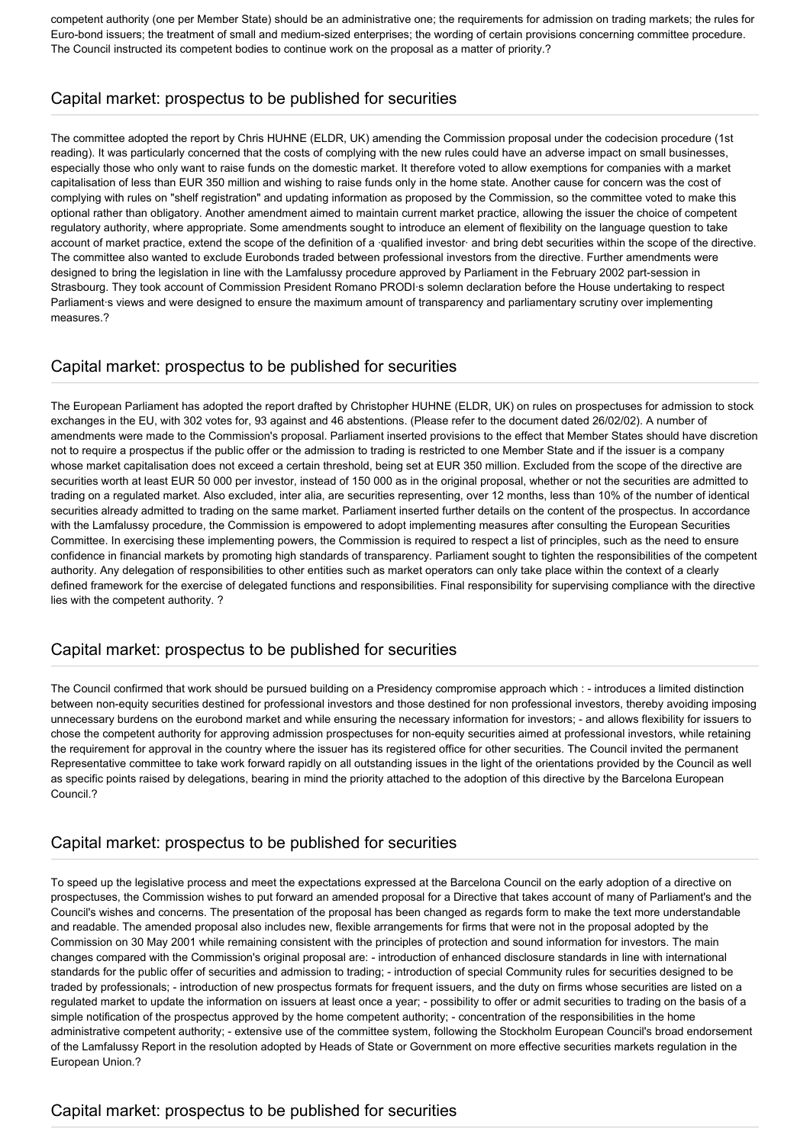competent authority (one per Member State) should be an administrative one; the requirements for admission on trading markets; the rules for Euro-bond issuers; the treatment of small and medium-sized enterprises; the wording of certain provisions concerning committee procedure. The Council instructed its competent bodies to continue work on the proposal as a matter of priority.?

# Capital market: prospectus to be published for securities

The committee adopted the report by Chris HUHNE (ELDR, UK) amending the Commission proposal under the codecision procedure (1st reading). It was particularly concerned that the costs of complying with the new rules could have an adverse impact on small businesses, especially those who only want to raise funds on the domestic market. It therefore voted to allow exemptions for companies with a market capitalisation of less than EUR 350 million and wishing to raise funds only in the home state. Another cause for concern was the cost of complying with rules on "shelf registration" and updating information as proposed by the Commission, so the committee voted to make this optional rather than obligatory. Another amendment aimed to maintain current market practice, allowing the issuer the choice of competent regulatory authority, where appropriate. Some amendments sought to introduce an element of flexibility on the language question to take account of market practice, extend the scope of the definition of a ·qualified investor· and bring debt securities within the scope of the directive. The committee also wanted to exclude Eurobonds traded between professional investors from the directive. Further amendments were designed to bring the legislation in line with the Lamfalussy procedure approved by Parliament in the February 2002 part-session in Strasbourg. They took account of Commission President Romano PRODI·s solemn declaration before the House undertaking to respect Parliament·s views and were designed to ensure the maximum amount of transparency and parliamentary scrutiny over implementing measures.?

# Capital market: prospectus to be published for securities

The European Parliament has adopted the report drafted by Christopher HUHNE (ELDR, UK) on rules on prospectuses for admission to stock exchanges in the EU, with 302 votes for, 93 against and 46 abstentions. (Please refer to the document dated 26/02/02). A number of amendments were made to the Commission's proposal. Parliament inserted provisions to the effect that Member States should have discretion not to require a prospectus if the public offer or the admission to trading is restricted to one Member State and if the issuer is a company whose market capitalisation does not exceed a certain threshold, being set at EUR 350 million. Excluded from the scope of the directive are securities worth at least EUR 50 000 per investor, instead of 150 000 as in the original proposal, whether or not the securities are admitted to trading on a regulated market. Also excluded, inter alia, are securities representing, over 12 months, less than 10% of the number of identical securities already admitted to trading on the same market. Parliament inserted further details on the content of the prospectus. In accordance with the Lamfalussy procedure, the Commission is empowered to adopt implementing measures after consulting the European Securities Committee. In exercising these implementing powers, the Commission is required to respect a list of principles, such as the need to ensure confidence in financial markets by promoting high standards of transparency. Parliament sought to tighten the responsibilities of the competent authority. Any delegation of responsibilities to other entities such as market operators can only take place within the context of a clearly defined framework for the exercise of delegated functions and responsibilities. Final responsibility for supervising compliance with the directive lies with the competent authority. ?

# Capital market: prospectus to be published for securities

The Council confirmed that work should be pursued building on a Presidency compromise approach which : - introduces a limited distinction between non-equity securities destined for professional investors and those destined for non professional investors, thereby avoiding imposing unnecessary burdens on the eurobond market and while ensuring the necessary information for investors; - and allows flexibility for issuers to chose the competent authority for approving admission prospectuses for non-equity securities aimed at professional investors, while retaining the requirement for approval in the country where the issuer has its registered office for other securities. The Council invited the permanent Representative committee to take work forward rapidly on all outstanding issues in the light of the orientations provided by the Council as well as specific points raised by delegations, bearing in mind the priority attached to the adoption of this directive by the Barcelona European Council.?

# Capital market: prospectus to be published for securities

To speed up the legislative process and meet the expectations expressed at the Barcelona Council on the early adoption of a directive on prospectuses, the Commission wishes to put forward an amended proposal for a Directive that takes account of many of Parliament's and the Council's wishes and concerns. The presentation of the proposal has been changed as regards form to make the text more understandable and readable. The amended proposal also includes new, flexible arrangements for firms that were not in the proposal adopted by the Commission on 30 May 2001 while remaining consistent with the principles of protection and sound information for investors. The main changes compared with the Commission's original proposal are: - introduction of enhanced disclosure standards in line with international standards for the public offer of securities and admission to trading; - introduction of special Community rules for securities designed to be traded by professionals; - introduction of new prospectus formats for frequent issuers, and the duty on firms whose securities are listed on a regulated market to update the information on issuers at least once a year; - possibility to offer or admit securities to trading on the basis of a simple notification of the prospectus approved by the home competent authority; - concentration of the responsibilities in the home administrative competent authority; - extensive use of the committee system, following the Stockholm European Council's broad endorsement of the Lamfalussy Report in the resolution adopted by Heads of State or Government on more effective securities markets regulation in the European Union.?

# Capital market: prospectus to be published for securities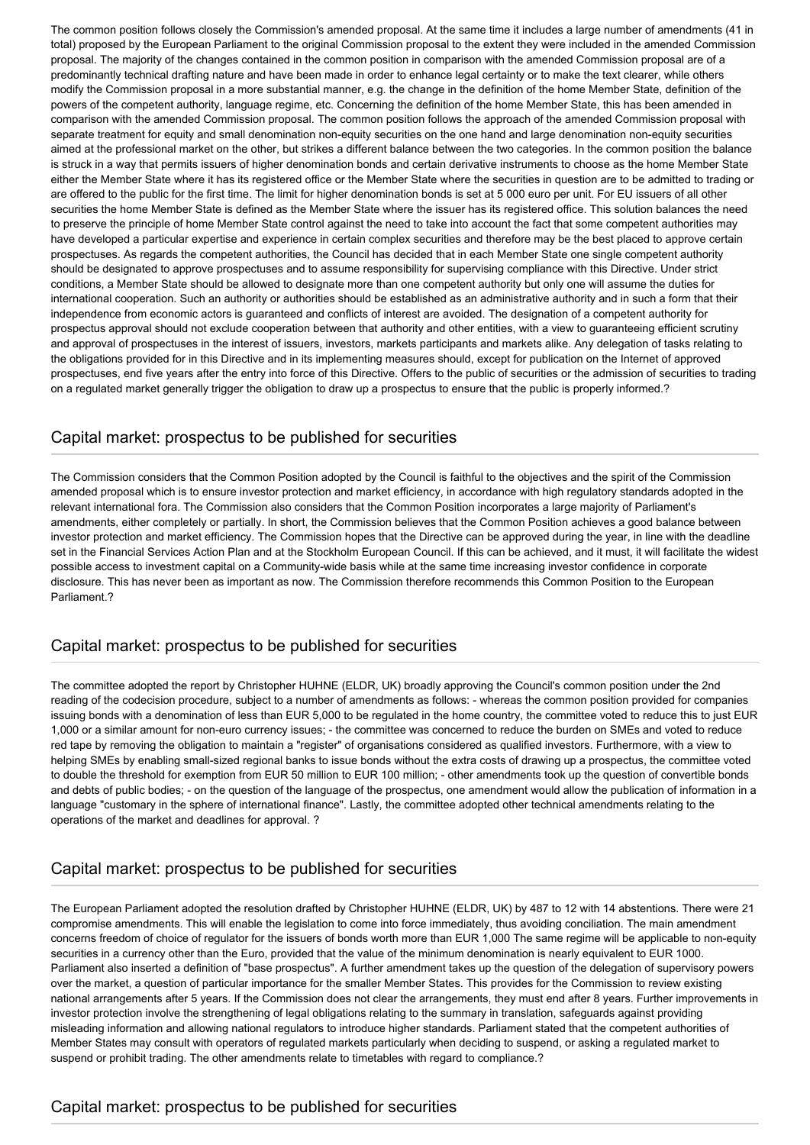The common position follows closely the Commission's amended proposal. At the same time it includes a large number of amendments (41 in total) proposed by the European Parliament to the original Commission proposal to the extent they were included in the amended Commission proposal. The majority of the changes contained in the common position in comparison with the amended Commission proposal are of a predominantly technical drafting nature and have been made in order to enhance legal certainty or to make the text clearer, while others modify the Commission proposal in a more substantial manner, e.g. the change in the definition of the home Member State, definition of the powers of the competent authority, language regime, etc. Concerning the definition of the home Member State, this has been amended in comparison with the amended Commission proposal. The common position follows the approach of the amended Commission proposal with separate treatment for equity and small denomination non-equity securities on the one hand and large denomination non-equity securities aimed at the professional market on the other, but strikes a different balance between the two categories. In the common position the balance is struck in a way that permits issuers of higher denomination bonds and certain derivative instruments to choose as the home Member State either the Member State where it has its registered office or the Member State where the securities in question are to be admitted to trading or are offered to the public for the first time. The limit for higher denomination bonds is set at 5 000 euro per unit. For EU issuers of all other securities the home Member State is defined as the Member State where the issuer has its registered office. This solution balances the need to preserve the principle of home Member State control against the need to take into account the fact that some competent authorities may have developed a particular expertise and experience in certain complex securities and therefore may be the best placed to approve certain prospectuses. As regards the competent authorities, the Council has decided that in each Member State one single competent authority should be designated to approve prospectuses and to assume responsibility for supervising compliance with this Directive. Under strict conditions, a Member State should be allowed to designate more than one competent authority but only one will assume the duties for international cooperation. Such an authority or authorities should be established as an administrative authority and in such a form that their independence from economic actors is guaranteed and conflicts of interest are avoided. The designation of a competent authority for prospectus approval should not exclude cooperation between that authority and other entities, with a view to guaranteeing efficient scrutiny and approval of prospectuses in the interest of issuers, investors, markets participants and markets alike. Any delegation of tasks relating to the obligations provided for in this Directive and in its implementing measures should, except for publication on the Internet of approved prospectuses, end five years after the entry into force of this Directive. Offers to the public of securities or the admission of securities to trading on a regulated market generally trigger the obligation to draw up a prospectus to ensure that the public is properly informed.?

#### Capital market: prospectus to be published for securities

The Commission considers that the Common Position adopted by the Council is faithful to the objectives and the spirit of the Commission amended proposal which is to ensure investor protection and market efficiency, in accordance with high regulatory standards adopted in the relevant international fora. The Commission also considers that the Common Position incorporates a large majority of Parliament's amendments, either completely or partially. In short, the Commission believes that the Common Position achieves a good balance between investor protection and market efficiency. The Commission hopes that the Directive can be approved during the year, in line with the deadline set in the Financial Services Action Plan and at the Stockholm European Council. If this can be achieved, and it must, it will facilitate the widest possible access to investment capital on a Community-wide basis while at the same time increasing investor confidence in corporate disclosure. This has never been as important as now. The Commission therefore recommends this Common Position to the European Parliament?

#### Capital market: prospectus to be published for securities

The committee adopted the report by Christopher HUHNE (ELDR, UK) broadly approving the Council's common position under the 2nd reading of the codecision procedure, subject to a number of amendments as follows: - whereas the common position provided for companies issuing bonds with a denomination of less than EUR 5,000 to be regulated in the home country, the committee voted to reduce this to just EUR 1,000 or a similar amount for non-euro currency issues; - the committee was concerned to reduce the burden on SMEs and voted to reduce red tape by removing the obligation to maintain a "register" of organisations considered as qualified investors. Furthermore, with a view to helping SMEs by enabling small-sized regional banks to issue bonds without the extra costs of drawing up a prospectus, the committee voted to double the threshold for exemption from EUR 50 million to EUR 100 million; - other amendments took up the question of convertible bonds and debts of public bodies; - on the question of the language of the prospectus, one amendment would allow the publication of information in a language "customary in the sphere of international finance". Lastly, the committee adopted other technical amendments relating to the operations of the market and deadlines for approval. ?

# Capital market: prospectus to be published for securities

The European Parliament adopted the resolution drafted by Christopher HUHNE (ELDR, UK) by 487 to 12 with 14 abstentions. There were 21 compromise amendments. This will enable the legislation to come into force immediately, thus avoiding conciliation. The main amendment concerns freedom of choice of regulator for the issuers of bonds worth more than EUR 1,000 The same regime will be applicable to non-equity securities in a currency other than the Euro, provided that the value of the minimum denomination is nearly equivalent to EUR 1000. Parliament also inserted a definition of "base prospectus". A further amendment takes up the question of the delegation of supervisory powers over the market, a question of particular importance for the smaller Member States. This provides for the Commission to review existing national arrangements after 5 years. If the Commission does not clear the arrangements, they must end after 8 years. Further improvements in investor protection involve the strengthening of legal obligations relating to the summary in translation, safeguards against providing misleading information and allowing national regulators to introduce higher standards. Parliament stated that the competent authorities of Member States may consult with operators of regulated markets particularly when deciding to suspend, or asking a regulated market to suspend or prohibit trading. The other amendments relate to timetables with regard to compliance.?

# Capital market: prospectus to be published for securities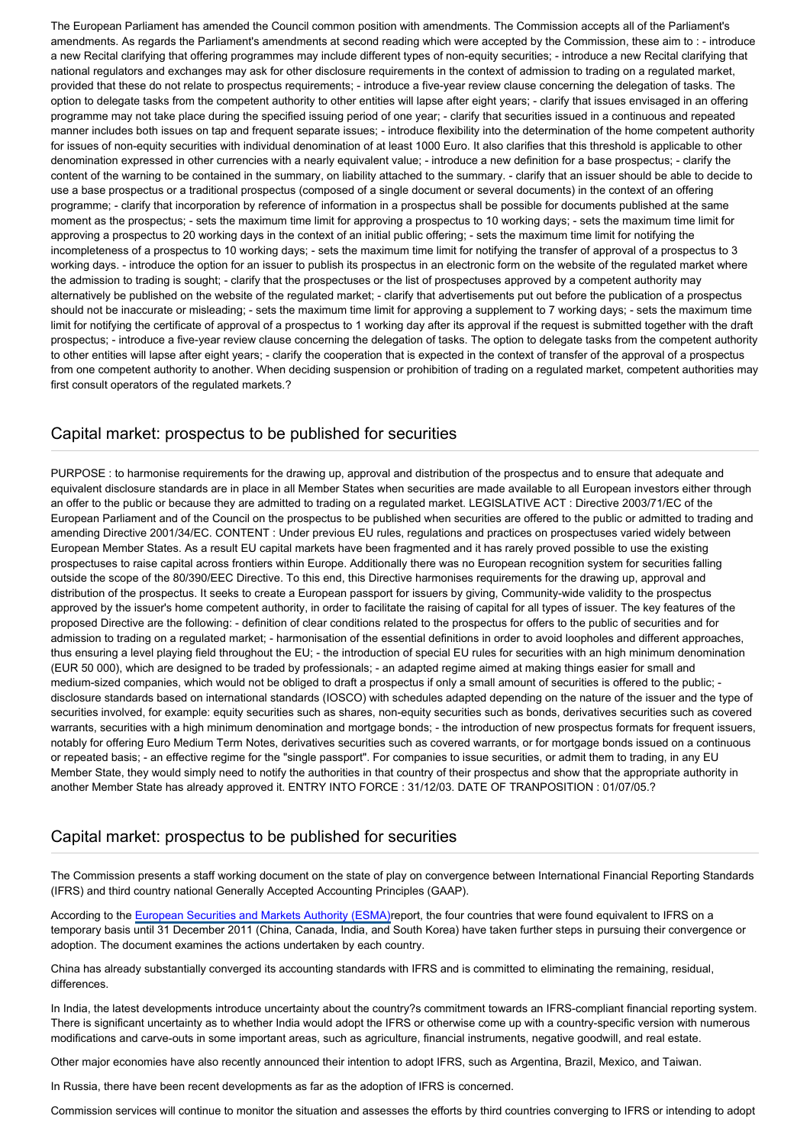The European Parliament has amended the Council common position with amendments. The Commission accepts all of the Parliament's amendments. As regards the Parliament's amendments at second reading which were accepted by the Commission, these aim to : - introduce a new Recital clarifying that offering programmes may include different types of non-equity securities; - introduce a new Recital clarifying that national regulators and exchanges may ask for other disclosure requirements in the context of admission to trading on a regulated market, provided that these do not relate to prospectus requirements; - introduce a five-year review clause concerning the delegation of tasks. The option to delegate tasks from the competent authority to other entities will lapse after eight years; - clarify that issues envisaged in an offering programme may not take place during the specified issuing period of one year; - clarify that securities issued in a continuous and repeated manner includes both issues on tap and frequent separate issues; - introduce flexibility into the determination of the home competent authority for issues of non-equity securities with individual denomination of at least 1000 Euro. It also clarifies that this threshold is applicable to other denomination expressed in other currencies with a nearly equivalent value; - introduce a new definition for a base prospectus; - clarify the content of the warning to be contained in the summary, on liability attached to the summary. - clarify that an issuer should be able to decide to use a base prospectus or a traditional prospectus (composed of a single document or several documents) in the context of an offering programme; - clarify that incorporation by reference of information in a prospectus shall be possible for documents published at the same moment as the prospectus; - sets the maximum time limit for approving a prospectus to 10 working days; - sets the maximum time limit for approving a prospectus to 20 working days in the context of an initial public offering; - sets the maximum time limit for notifying the incompleteness of a prospectus to 10 working days; - sets the maximum time limit for notifying the transfer of approval of a prospectus to 3 working days. - introduce the option for an issuer to publish its prospectus in an electronic form on the website of the regulated market where the admission to trading is sought; - clarify that the prospectuses or the list of prospectuses approved by a competent authority may alternatively be published on the website of the regulated market; - clarify that advertisements put out before the publication of a prospectus should not be inaccurate or misleading; - sets the maximum time limit for approving a supplement to 7 working days; - sets the maximum time limit for notifying the certificate of approval of a prospectus to 1 working day after its approval if the request is submitted together with the draft prospectus; - introduce a five-year review clause concerning the delegation of tasks. The option to delegate tasks from the competent authority to other entities will lapse after eight years; - clarify the cooperation that is expected in the context of transfer of the approval of a prospectus from one competent authority to another. When deciding suspension or prohibition of trading on a regulated market, competent authorities may first consult operators of the regulated markets.?

#### Capital market: prospectus to be published for securities

PURPOSE : to harmonise requirements for the drawing up, approval and distribution of the prospectus and to ensure that adequate and equivalent disclosure standards are in place in all Member States when securities are made available to all European investors either through an offer to the public or because they are admitted to trading on a regulated market. LEGISLATIVE ACT : Directive 2003/71/EC of the European Parliament and of the Council on the prospectus to be published when securities are offered to the public or admitted to trading and amending Directive 2001/34/EC. CONTENT : Under previous EU rules, regulations and practices on prospectuses varied widely between European Member States. As a result EU capital markets have been fragmented and it has rarely proved possible to use the existing prospectuses to raise capital across frontiers within Europe. Additionally there was no European recognition system for securities falling outside the scope of the 80/390/EEC Directive. To this end, this Directive harmonises requirements for the drawing up, approval and distribution of the prospectus. It seeks to create a European passport for issuers by giving, Community-wide validity to the prospectus approved by the issuer's home competent authority, in order to facilitate the raising of capital for all types of issuer. The key features of the proposed Directive are the following: - definition of clear conditions related to the prospectus for offers to the public of securities and for admission to trading on a regulated market; - harmonisation of the essential definitions in order to avoid loopholes and different approaches, thus ensuring a level playing field throughout the EU; - the introduction of special EU rules for securities with an high minimum denomination (EUR 50 000), which are designed to be traded by professionals; - an adapted regime aimed at making things easier for small and medium-sized companies, which would not be obliged to draft a prospectus if only a small amount of securities is offered to the public; disclosure standards based on international standards (IOSCO) with schedules adapted depending on the nature of the issuer and the type of securities involved, for example: equity securities such as shares, non-equity securities such as bonds, derivatives securities such as covered warrants, securities with a high minimum denomination and mortgage bonds; - the introduction of new prospectus formats for frequent issuers, notably for offering Euro Medium Term Notes, derivatives securities such as covered warrants, or for mortgage bonds issued on a continuous or repeated basis; - an effective regime for the "single passport". For companies to issue securities, or admit them to trading, in any EU Member State, they would simply need to notify the authorities in that country of their prospectus and show that the appropriate authority in another Member State has already approved it. ENTRY INTO FORCE : 31/12/03. DATE OF TRANPOSITION : 01/07/05.?

#### Capital market: prospectus to be published for securities

The Commission presents a staff working document on the state of play on convergence between International Financial Reporting Standards (IFRS) and third country national Generally Accepted Accounting Principles (GAAP).

According to the [European Securities and Markets Authority \(ESMA\)](http://www.europarl.europa.eu/oeil/FindByProcnum.do?lang=en&procnum=COD/2009/0144)report, the four countries that were found equivalent to IFRS on a temporary basis until 31 December 2011 (China, Canada, India, and South Korea) have taken further steps in pursuing their convergence or adoption. The document examines the actions undertaken by each country.

China has already substantially converged its accounting standards with IFRS and is committed to eliminating the remaining, residual, differences.

In India, the latest developments introduce uncertainty about the country?s commitment towards an IFRS-compliant financial reporting system. There is significant uncertainty as to whether India would adopt the IFRS or otherwise come up with a country-specific version with numerous modifications and carve-outs in some important areas, such as agriculture, financial instruments, negative goodwill, and real estate.

Other major economies have also recently announced their intention to adopt IFRS, such as Argentina, Brazil, Mexico, and Taiwan.

In Russia, there have been recent developments as far as the adoption of IFRS is concerned.

Commission services will continue to monitor the situation and assesses the efforts by third countries converging to IFRS or intending to adopt